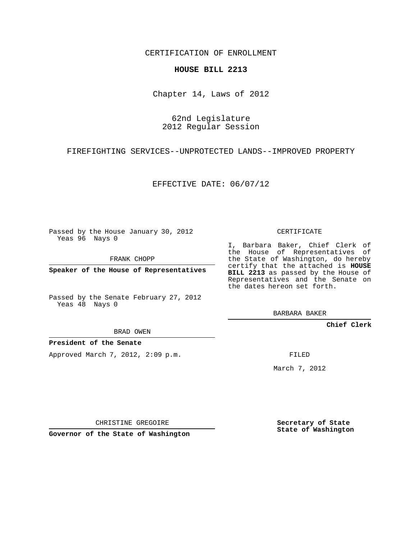CERTIFICATION OF ENROLLMENT

## **HOUSE BILL 2213**

Chapter 14, Laws of 2012

62nd Legislature 2012 Regular Session

FIREFIGHTING SERVICES--UNPROTECTED LANDS--IMPROVED PROPERTY

EFFECTIVE DATE: 06/07/12

Passed by the House January 30, 2012 Yeas 96 Nays 0

FRANK CHOPP

**Speaker of the House of Representatives**

Passed by the Senate February 27, 2012 Yeas 48 Nays 0

BRAD OWEN

## **President of the Senate**

Approved March 7, 2012, 2:09 p.m.

CERTIFICATE

I, Barbara Baker, Chief Clerk of the House of Representatives of the State of Washington, do hereby certify that the attached is **HOUSE BILL 2213** as passed by the House of Representatives and the Senate on the dates hereon set forth.

BARBARA BAKER

**Chief Clerk**

FILED

March 7, 2012

**Secretary of State State of Washington**

CHRISTINE GREGOIRE

**Governor of the State of Washington**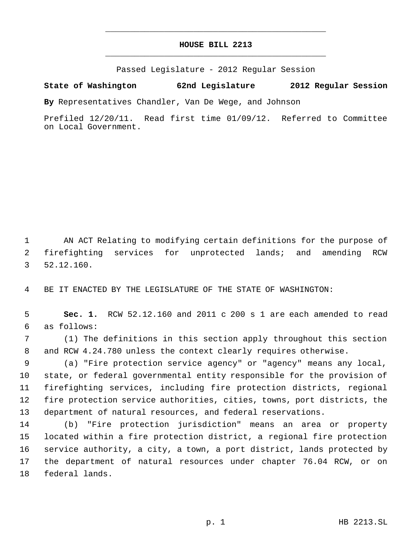## **HOUSE BILL 2213** \_\_\_\_\_\_\_\_\_\_\_\_\_\_\_\_\_\_\_\_\_\_\_\_\_\_\_\_\_\_\_\_\_\_\_\_\_\_\_\_\_\_\_\_\_

\_\_\_\_\_\_\_\_\_\_\_\_\_\_\_\_\_\_\_\_\_\_\_\_\_\_\_\_\_\_\_\_\_\_\_\_\_\_\_\_\_\_\_\_\_

Passed Legislature - 2012 Regular Session

**State of Washington 62nd Legislature 2012 Regular Session**

**By** Representatives Chandler, Van De Wege, and Johnson

Prefiled 12/20/11. Read first time 01/09/12. Referred to Committee on Local Government.

 AN ACT Relating to modifying certain definitions for the purpose of firefighting services for unprotected lands; and amending RCW 52.12.160.

BE IT ENACTED BY THE LEGISLATURE OF THE STATE OF WASHINGTON:

 **Sec. 1.** RCW 52.12.160 and 2011 c 200 s 1 are each amended to read as follows:

 (1) The definitions in this section apply throughout this section and RCW 4.24.780 unless the context clearly requires otherwise.

 (a) "Fire protection service agency" or "agency" means any local, state, or federal governmental entity responsible for the provision of firefighting services, including fire protection districts, regional fire protection service authorities, cities, towns, port districts, the department of natural resources, and federal reservations.

 (b) "Fire protection jurisdiction" means an area or property located within a fire protection district, a regional fire protection service authority, a city, a town, a port district, lands protected by the department of natural resources under chapter 76.04 RCW, or on federal lands.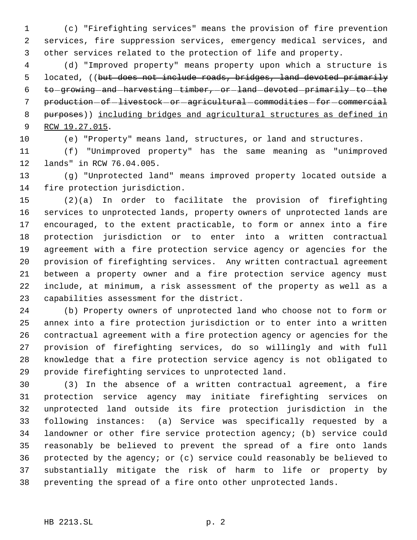(c) "Firefighting services" means the provision of fire prevention services, fire suppression services, emergency medical services, and other services related to the protection of life and property.

 (d) "Improved property" means property upon which a structure is 5 located, ((but does not include roads, bridges, land devoted primarily 6 to growing and harvesting timber, or land devoted primarily to the 7 production - of - livestock - or - agricultural - commodities - for - commercial purposes)) including bridges and agricultural structures as defined in RCW 19.27.015.

(e) "Property" means land, structures, or land and structures.

 (f) "Unimproved property" has the same meaning as "unimproved lands" in RCW 76.04.005.

 (g) "Unprotected land" means improved property located outside a fire protection jurisdiction.

 (2)(a) In order to facilitate the provision of firefighting services to unprotected lands, property owners of unprotected lands are encouraged, to the extent practicable, to form or annex into a fire protection jurisdiction or to enter into a written contractual agreement with a fire protection service agency or agencies for the provision of firefighting services. Any written contractual agreement between a property owner and a fire protection service agency must include, at minimum, a risk assessment of the property as well as a capabilities assessment for the district.

 (b) Property owners of unprotected land who choose not to form or annex into a fire protection jurisdiction or to enter into a written contractual agreement with a fire protection agency or agencies for the provision of firefighting services, do so willingly and with full knowledge that a fire protection service agency is not obligated to provide firefighting services to unprotected land.

 (3) In the absence of a written contractual agreement, a fire protection service agency may initiate firefighting services on unprotected land outside its fire protection jurisdiction in the following instances: (a) Service was specifically requested by a landowner or other fire service protection agency; (b) service could reasonably be believed to prevent the spread of a fire onto lands protected by the agency; or (c) service could reasonably be believed to substantially mitigate the risk of harm to life or property by preventing the spread of a fire onto other unprotected lands.